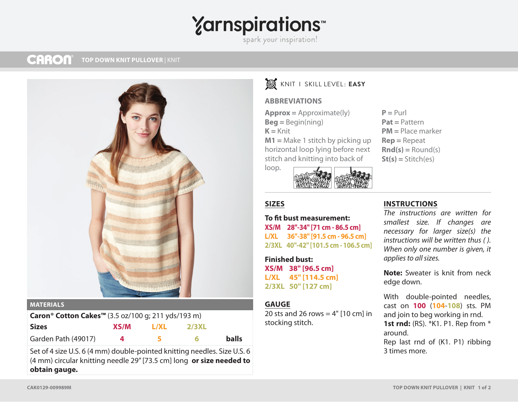# **Yarnspirations**

spark your inspiration!

#### **CARON TOP DOWN KNIT PULLOVER** | KNIT



#### **MATERIALS**

| Caron <sup>®</sup> Cotton Cakes <sup>™</sup> (3.5 oz/100 g; 211 yds/193 m) |      |      |              |       |
|----------------------------------------------------------------------------|------|------|--------------|-------|
| <b>Sizes</b>                                                               | XS/M | L/XL | <b>2/3XL</b> |       |
| Garden Path (49017)                                                        |      | 5    | -6           | balls |

Set of 4 size U.S. 6 (4 mm) double-pointed knitting needles. Size U.S. 6 (4 mm) circular knitting needle 29" [73.5 cm] long **or size needed to obtain gauge.**

## KNIT I SKILL LEVEL: **EASY**

#### **ABBREVIATIONS**

**Approx =** Approximate(ly) **Beg =** Begin(ning)  $K =$  Knit **M1 =** Make 1 stitch by picking up horizontal loop lying before next

stitch and knitting into back of

loop.

#### $P = Purl$ **Pat =** Pattern **PM =** Place marker **Rep =** Repeat **Rnd(s) =** Round(s) **St(s) =** Stitch(es)

### **SIZES**

**To fit bust measurement: XS/M 28"-34" [71 cm - 86.5 cm] L/XL 36"-38" [91.5 cm - 96.5 cm] 2/3XL 40"-42" [101.5 cm - 106.5 cm]**

**Finished bust: XS/M 38" [96.5 cm] L/XL 45" [114.5 cm] 2/3XL 50" [127 cm]**

#### **GAUGE**

20 sts and 26 rows =  $4"$  [10 cm] in stocking stitch.

### **INSTRUCTIONS**

*The instructions are written for smallest size. If changes are necessary for larger size(s) the instructions will be written thus ( ). When only one number is given, it applies to all sizes.*

**Note:** Sweater is knit from neck edge down.

```
With double-pointed needles, 
cast on 100 (104-108)  sts. PM 
and join to beg working in rnd.
1st rnd: (RS). *K1. P1. Rep from *
around.
Rep last rnd of (K1. P1) ribbing 
3 times more.
```